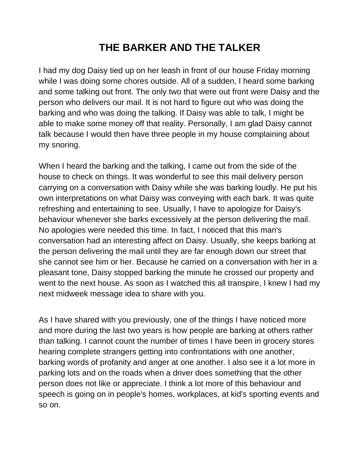## **THE BARKER AND THE TALKER**

I had my dog Daisy tied up on her leash in front of our house Friday morning while I was doing some chores outside. All of a sudden, I heard some barking and some talking out front. The only two that were out front were Daisy and the person who delivers our mail. It is not hard to figure out who was doing the barking and who was doing the talking. If Daisy was able to talk, I might be able to make some money off that reality. Personally, I am glad Daisy cannot talk because I would then have three people in my house complaining about my snoring.

When I heard the barking and the talking, I came out from the side of the house to check on things. It was wonderful to see this mail delivery person carrying on a conversation with Daisy while she was barking loudly. He put his own interpretations on what Daisy was conveying with each bark. It was quite refreshing and entertaining to see. Usually, I have to apologize for Daisy's behaviour whenever she barks excessively at the person delivering the mail. No apologies were needed this time. In fact, I noticed that this man's conversation had an interesting affect on Daisy. Usually, she keeps barking at the person delivering the mail until they are far enough down our street that she cannot see him or her. Because he carried on a conversation with her in a pleasant tone, Daisy stopped barking the minute he crossed our property and went to the next house. As soon as I watched this all transpire, I knew I had my next midweek message idea to share with you.

As I have shared with you previously, one of the things I have noticed more and more during the last two years is how people are barking at others rather than talking. I cannot count the number of times I have been in grocery stores hearing complete strangers getting into confrontations with one another, barking words of profanity and anger at one another. I also see it a lot more in parking lots and on the roads when a driver does something that the other person does not like or appreciate. I think a lot more of this behaviour and speech is going on in people's homes, workplaces, at kid's sporting events and so on.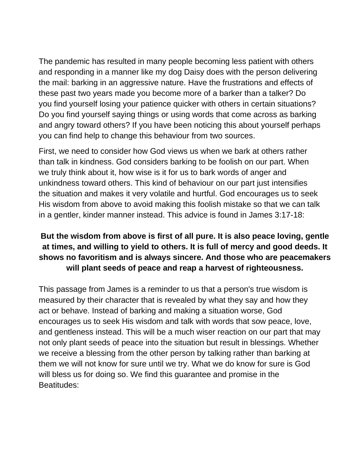The pandemic has resulted in many people becoming less patient with others and responding in a manner like my dog Daisy does with the person delivering the mail: barking in an aggressive nature. Have the frustrations and effects of these past two years made you become more of a barker than a talker? Do you find yourself losing your patience quicker with others in certain situations? Do you find yourself saying things or using words that come across as barking and angry toward others? If you have been noticing this about yourself perhaps you can find help to change this behaviour from two sources.

First, we need to consider how God views us when we bark at others rather than talk in kindness. God considers barking to be foolish on our part. When we truly think about it, how wise is it for us to bark words of anger and unkindness toward others. This kind of behaviour on our part just intensifies the situation and makes it very volatile and hurtful. God encourages us to seek His wisdom from above to avoid making this foolish mistake so that we can talk in a gentler, kinder manner instead. This advice is found in James 3:17-18:

## **But the wisdom from above is first of all pure. It is also peace loving, gentle at times, and willing to yield to others. It is full of mercy and good deeds. It shows no favoritism and is always sincere. And those who are peacemakers will plant seeds of peace and reap a harvest of righteousness.**

This passage from James is a reminder to us that a person's true wisdom is measured by their character that is revealed by what they say and how they act or behave. Instead of barking and making a situation worse, God encourages us to seek His wisdom and talk with words that sow peace, love, and gentleness instead. This will be a much wiser reaction on our part that may not only plant seeds of peace into the situation but result in blessings. Whether we receive a blessing from the other person by talking rather than barking at them we will not know for sure until we try. What we do know for sure is God will bless us for doing so. We find this guarantee and promise in the Beatitudes: